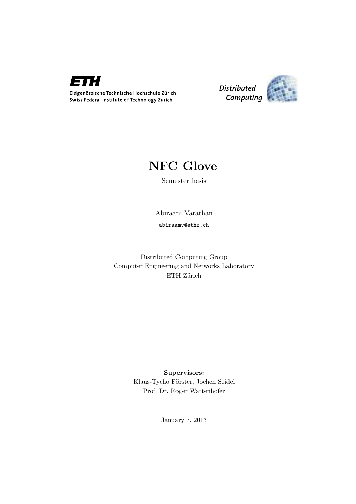

Distributed Computing



## NFC Glove

Semesterthesis

Abiraam Varathan

abiraamv@ethz.ch

Distributed Computing Group Computer Engineering and Networks Laboratory ETH Zürich

> Supervisors: Klaus-Tycho Förster, Jochen Seidel Prof. Dr. Roger Wattenhofer

> > January 7, 2013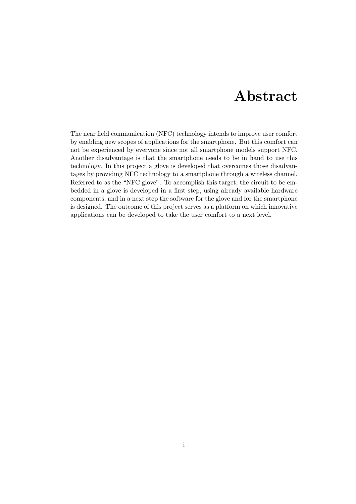## Abstract

<span id="page-1-0"></span>The near field communication (NFC) technology intends to improve user comfort by enabling new scopes of applications for the smartphone. But this comfort can not be experienced by everyone since not all smartphone models support NFC. Another disadvantage is that the smartphone needs to be in hand to use this technology. In this project a glove is developed that overcomes those disadvantages by providing NFC technology to a smartphone through a wireless channel. Referred to as the "NFC glove". To accomplish this target, the circuit to be embedded in a glove is developed in a first step, using already available hardware components, and in a next step the software for the glove and for the smartphone is designed. The outcome of this project serves as a platform on which innovative applications can be developed to take the user comfort to a next level.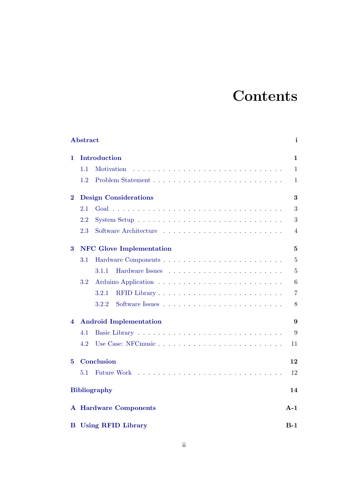## **Contents**

|          | Abstract                           |  |    | i              |  |  |  |
|----------|------------------------------------|--|----|----------------|--|--|--|
| 1.       | Introduction<br>1                  |  |    |                |  |  |  |
|          | 1.1<br>Motivation                  |  |    | $\mathbf{1}$   |  |  |  |
|          | 1.2                                |  |    | 1              |  |  |  |
| $\bf{2}$ | <b>Design Considerations</b>       |  |    | 3              |  |  |  |
|          | 2.1                                |  |    | 3              |  |  |  |
|          | $2.2\,$                            |  |    | 3              |  |  |  |
|          | 2.3                                |  |    | 4              |  |  |  |
| 3        | <b>NFC</b> Glove Implementation    |  |    | $\overline{5}$ |  |  |  |
|          | 3.1                                |  |    | $\overline{5}$ |  |  |  |
|          | 3.1.1                              |  |    | $\overline{5}$ |  |  |  |
|          | 3.2                                |  |    | 6              |  |  |  |
|          | 3.2.1                              |  |    | $\overline{7}$ |  |  |  |
|          | 3.2.2                              |  |    | 8              |  |  |  |
| 4        | <b>Android Implementation</b>      |  |    | 9              |  |  |  |
|          | 4.1                                |  |    | 9              |  |  |  |
|          | 4.2                                |  |    | 11             |  |  |  |
| 5        |                                    |  | 12 |                |  |  |  |
|          | <b>Future Work</b><br>5.1          |  |    | 12             |  |  |  |
|          | <b>Bibliography</b>                |  |    | 14             |  |  |  |
|          | <b>A</b> Hardware Components       |  |    | $A-1$          |  |  |  |
| в        | <b>Using RFID Library</b><br>$B-1$ |  |    |                |  |  |  |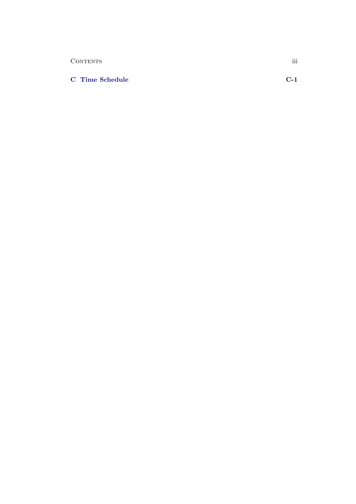| CONTENTS               | $\cdots$<br>ווו |
|------------------------|-----------------|
|                        |                 |
| <b>C</b> Time Schedule | $C-1$           |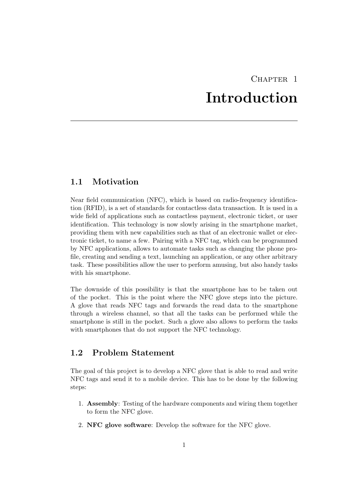## CHAPTER<sub>1</sub> Introduction

### <span id="page-4-1"></span><span id="page-4-0"></span>1.1 Motivation

Near field communication (NFC), which is based on radio-frequency identification (RFID), is a set of standards for contactless data transaction. It is used in a wide field of applications such as contactless payment, electronic ticket, or user identification. This technology is now slowly arising in the smartphone market, providing them with new capabilities such as that of an electronic wallet or electronic ticket, to name a few. Pairing with a NFC tag, which can be programmed by NFC applications, allows to automate tasks such as changing the phone profile, creating and sending a text, launching an application, or any other arbitrary task. These possibilities allow the user to perform amusing, but also handy tasks with his smartphone.

The downside of this possibility is that the smartphone has to be taken out of the pocket. This is the point where the NFC glove steps into the picture. A glove that reads NFC tags and forwards the read data to the smartphone through a wireless channel, so that all the tasks can be performed while the smartphone is still in the pocket. Such a glove also allows to perform the tasks with smartphones that do not support the NFC technology.

## <span id="page-4-2"></span>1.2 Problem Statement

The goal of this project is to develop a NFC glove that is able to read and write NFC tags and send it to a mobile device. This has to be done by the following steps:

- 1. Assembly: Testing of the hardware components and wiring them together to form the NFC glove.
- 2. NFC glove software: Develop the software for the NFC glove.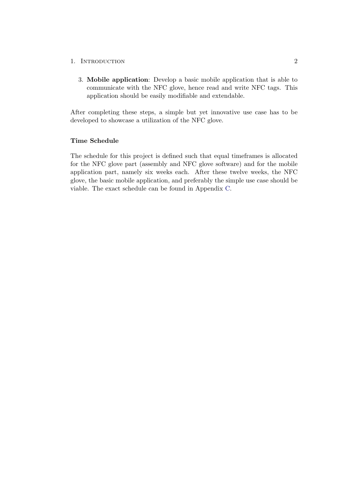#### 1. INTRODUCTION 2

3. Mobile application: Develop a basic mobile application that is able to communicate with the NFC glove, hence read and write NFC tags. This application should be easily modifiable and extendable.

After completing these steps, a simple but yet innovative use case has to be developed to showcase a utilization of the NFC glove.

#### Time Schedule

The schedule for this project is defined such that equal timeframes is allocated for the NFC glove part (assembly and NFC glove software) and for the mobile application part, namely six weeks each. After these twelve weeks, the NFC glove, the basic mobile application, and preferably the simple use case should be viable. The exact schedule can be found in Appendix [C.](#page-20-0)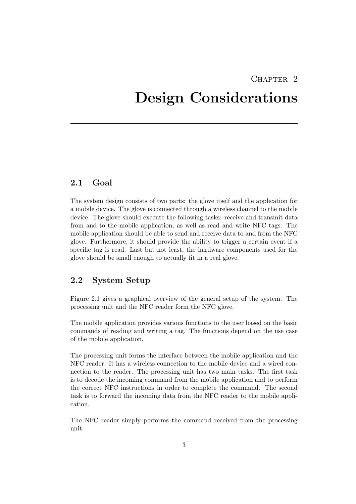## CHAPTER<sub>2</sub>

## <span id="page-6-0"></span>Design Considerations

### <span id="page-6-1"></span>2.1 Goal

The system design consists of two parts: the glove itself and the application for a mobile device. The glove is connected through a wireless channel to the mobile device. The glove should execute the following tasks: receive and transmit data from and to the mobile application, as well as read and write NFC tags. The mobile application should be able to send and receive data to and from the NFC glove. Furthermore, it should provide the ability to trigger a certain event if a specific tag is read. Last but not least, the hardware components used for the glove should be small enough to actually fit in a real glove.

### <span id="page-6-2"></span>2.2 System Setup

Figure [2.1](#page-7-1) gives a graphical overview of the general setup of the system. The processing unit and the NFC reader form the NFC glove.

The mobile application provides various functions to the user based on the basic commands of reading and writing a tag. The functions depend on the use case of the mobile application.

The processing unit forms the interface between the mobile application and the NFC reader. It has a wireless connection to the mobile device and a wired connection to the reader. The processing unit has two main tasks. The first task is to decode the incoming command from the mobile application and to perform the correct NFC instructions in order to complete the command. The second task is to forward the incoming data from the NFC reader to the mobile application.

The NFC reader simply performs the command received from the processing unit.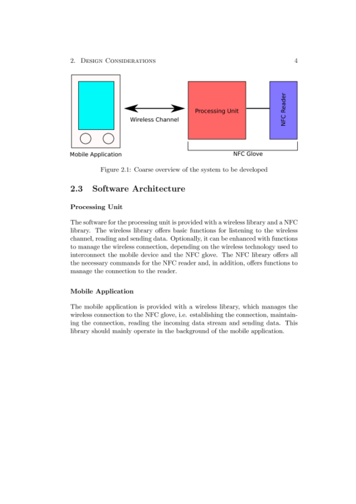2. DESIGN CONSIDERATIONS



Figure 2.1: Coarse overview of the system to be developed

#### 2.3 Software Architecture

### Processing Unit

The software for the processing unit is provided with a wireless library and a NFC library. The wireless library offers basic functions for listening to the wireless channel, reading and sending data. Optionally, it can be enhanced with functions to manage the wireless connection, depending on the wireless technology used to interconnect the mobile device and the NFC glove. The NFC library offers all the necessary commands for the NFC reader and, in addition, offers functions to manage the connection to the reader.

### **Mobile Application**

The mobile application is provided with a wireless library, which manages the wireless connection to the NFC glove, i.e. establishing the connection, maintaining the connection, reading the incoming data stream and sending data. This library should mainly operate in the background of the mobile application.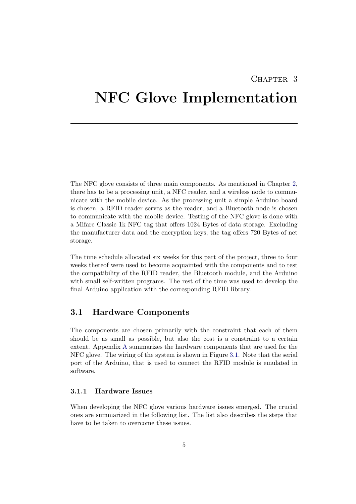## $CHAPTER$  3

## <span id="page-8-0"></span>NFC Glove Implementation

The NFC glove consists of three main components. As mentioned in Chapter [2,](#page-6-0) there has to be a processing unit, a NFC reader, and a wireless node to communicate with the mobile device. As the processing unit a simple Arduino board is chosen, a RFID reader serves as the reader, and a Bluetooth node is chosen to communicate with the mobile device. Testing of the NFC glove is done with a Mifare Classic 1k NFC tag that offers 1024 Bytes of data storage. Excluding the manufacturer data and the encryption keys, the tag offers 720 Bytes of net storage.

The time schedule allocated six weeks for this part of the project, three to four weeks thereof were used to become acquainted with the components and to test the compatibility of the RFID reader, the Bluetooth module, and the Arduino with small self-written programs. The rest of the time was used to develop the final Arduino application with the corresponding RFID library.

### <span id="page-8-1"></span>3.1 Hardware Components

The components are chosen primarily with the constraint that each of them should be as small as possible, but also the cost is a constraint to a certain extent. Appendix [A](#page-18-0) summarizes the hardware components that are used for the NFC glove. The wiring of the system is shown in Figure [3.1.](#page-9-1) Note that the serial port of the Arduino, that is used to connect the RFID module is emulated in software.

#### <span id="page-8-2"></span>3.1.1 Hardware Issues

When developing the NFC glove various hardware issues emerged. The crucial ones are summarized in the following list. The list also describes the steps that have to be taken to overcome these issues.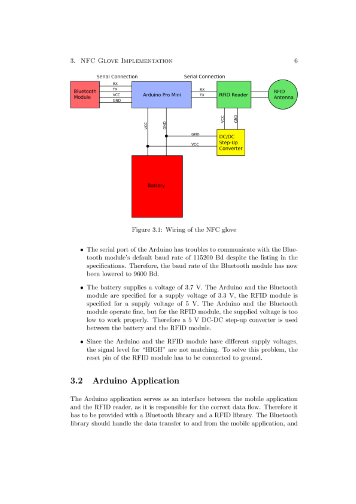#### 3. NFC GLOVE IMPLEMENTATION



Figure 3.1: Wiring of the NFC glove

- The serial port of the Arduino has troubles to communicate with the Bluetooth module's default baud rate of 115200 Bd despite the listing in the specifications. Therefore, the baud rate of the Bluetooth module has now been lowered to 9600 Bd.
- The battery supplies a voltage of 3.7 V. The Arduino and the Bluetooth module are specified for a supply voltage of 3.3 V, the RFID module is specified for a supply voltage of 5 V. The Arduino and the Bluetooth module operate fine, but for the RFID module, the supplied voltage is too low to work properly. Therefore a 5 V DC-DC step-up converter is used between the battery and the RFID module.
- Since the Arduino and the RFID module have different supply voltages, the signal level for "HIGH" are not matching. To solve this problem, the reset pin of the RFID module has to be connected to ground.

#### $3.2$ Arduino Application

The Arduino application serves as an interface between the mobile application and the RFID reader, as it is responsible for the correct data flow. Therefore it has to be provided with a Bluetooth library and a RFID library. The Bluetooth library should handle the data transfer to and from the mobile application, and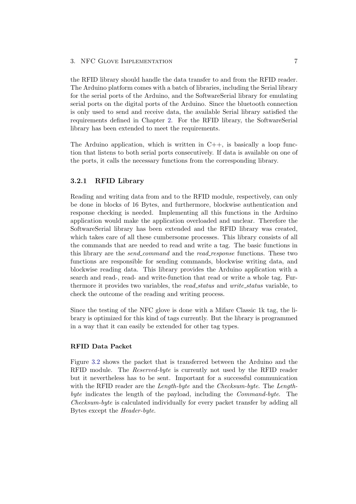#### 3. NFC GLOVE IMPLEMENTATION 7

the RFID library should handle the data transfer to and from the RFID reader. The Arduino platform comes with a batch of libraries, including the Serial library for the serial ports of the Arduino, and the SoftwareSerial library for emulating serial ports on the digital ports of the Arduino. Since the bluetooth connection is only used to send and receive data, the available Serial library satisfied the requirements defined in Chapter [2.](#page-6-0) For the RFID library, the SoftwareSerial library has been extended to meet the requirements.

The Arduino application, which is written in  $C_{++}$ , is basically a loop function that listens to both serial ports consecutively. If data is available on one of the ports, it calls the necessary functions from the corresponding library.

### <span id="page-10-0"></span>3.2.1 RFID Library

Reading and writing data from and to the RFID module, respectively, can only be done in blocks of 16 Bytes, and furthermore, blockwise authentication and response checking is needed. Implementing all this functions in the Arduino application would make the application overloaded and unclear. Therefore the SoftwareSerial library has been extended and the RFID library was created, which takes care of all these cumbersome processes. This library consists of all the commands that are needed to read and write a tag. The basic functions in this library are the *send\_command* and the *read\_response* functions. These two functions are responsible for sending commands, blockwise writing data, and blockwise reading data. This library provides the Arduino application with a search and read-, read- and write-function that read or write a whole tag. Furthermore it provides two variables, the *read\_status* and *write\_status* variable, to check the outcome of the reading and writing process.

Since the testing of the NFC glove is done with a Mifare Classic 1k tag, the library is optimized for this kind of tags currently. But the library is programmed in a way that it can easily be extended for other tag types.

#### RFID Data Packet

Figure [3.2](#page-11-1) shows the packet that is transferred between the Arduino and the RFID module. The Reserved-byte is currently not used by the RFID reader but it nevertheless has to be sent. Important for a successful communication with the RFID reader are the *Length-byte* and the *Checksum-byte*. The *Length*byte indicates the length of the payload, including the Command-byte. The Checksum-byte is calculated individually for every packet transfer by adding all Bytes except the Header-byte.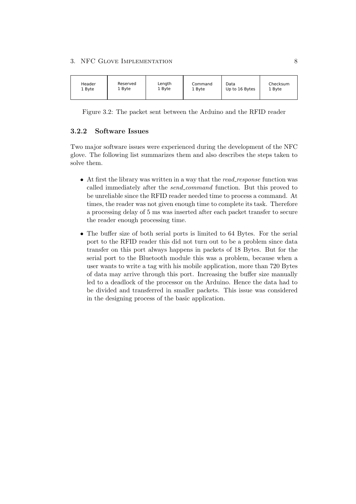#### 3. NFC GLOVE IMPLEMENTATION 8



<span id="page-11-1"></span>Figure 3.2: The packet sent between the Arduino and the RFID reader

### <span id="page-11-0"></span>3.2.2 Software Issues

Two major software issues were experienced during the development of the NFC glove. The following list summarizes them and also describes the steps taken to solve them.

- $\bullet$  At first the library was written in a way that the *read\_response* function was called immediately after the *send\_command* function. But this proved to be unreliable since the RFID reader needed time to process a command. At times, the reader was not given enough time to complete its task. Therefore a processing delay of 5 ms was inserted after each packet transfer to secure the reader enough processing time.
- The buffer size of both serial ports is limited to 64 Bytes. For the serial port to the RFID reader this did not turn out to be a problem since data transfer on this port always happens in packets of 18 Bytes. But for the serial port to the Bluetooth module this was a problem, because when a user wants to write a tag with his mobile application, more than 720 Bytes of data may arrive through this port. Increasing the buffer size manually led to a deadlock of the processor on the Arduino. Hence the data had to be divided and transferred in smaller packets. This issue was considered in the designing process of the basic application.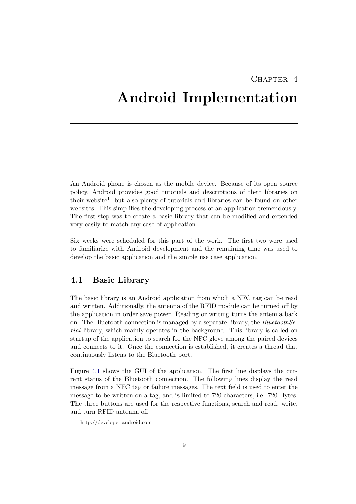## CHAPTER<sub>4</sub>

## <span id="page-12-0"></span>Android Implementation

An Android phone is chosen as the mobile device. Because of its open source policy, Android provides good tutorials and descriptions of their libraries on their website<sup>1</sup>, but also plenty of tutorials and libraries can be found on other websites. This simplifies the developing process of an application tremendously. The first step was to create a basic library that can be modified and extended very easily to match any case of application.

Six weeks were scheduled for this part of the work. The first two were used to familiarize with Android development and the remaining time was used to develop the basic application and the simple use case application.

### <span id="page-12-1"></span>4.1 Basic Library

The basic library is an Android application from which a NFC tag can be read and written. Additionally, the antenna of the RFID module can be turned off by the application in order save power. Reading or writing turns the antenna back on. The Bluetooth connection is managed by a separate library, the  $BluetoothSe$ rial library, which mainly operates in the background. This library is called on startup of the application to search for the NFC glove among the paired devices and connects to it. Once the connection is established, it creates a thread that continuously listens to the Bluetooth port.

Figure [4.1](#page-13-0) shows the GUI of the application. The first line displays the current status of the Bluetooth connection. The following lines display the read message from a NFC tag or failure messages. The text field is used to enter the message to be written on a tag, and is limited to 720 characters, i.e. 720 Bytes. The three buttons are used for the respective functions, search and read, write, and turn RFID antenna off.

<sup>1</sup>http://developer.android.com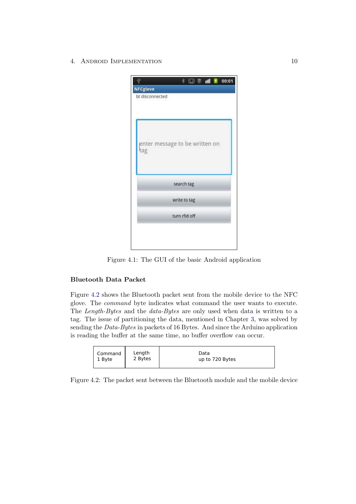4. ANDROID IMPLEMENTATION 10

|                                    |                                | <b>★ 日 画 画 ■ 1 00:01</b> |  |
|------------------------------------|--------------------------------|--------------------------|--|
| <b>NFCglove</b><br>bt disconnected |                                |                          |  |
|                                    |                                |                          |  |
|                                    | enter message to be written on |                          |  |
| tag                                |                                |                          |  |
|                                    |                                |                          |  |
|                                    | search tag                     |                          |  |
|                                    | write to tag                   |                          |  |
|                                    | turn rfid off                  |                          |  |
|                                    |                                |                          |  |
|                                    |                                |                          |  |

<span id="page-13-0"></span>Figure 4.1: The GUI of the basic Android application

### Bluetooth Data Packet

Figure [4.2](#page-13-1) shows the Bluetooth packet sent from the mobile device to the NFC glove. The command byte indicates what command the user wants to execute. The Length-Bytes and the data-Bytes are only used when data is written to a tag. The issue of partitioning the data, mentioned in Chapter [3,](#page-8-0) was solved by sending the Data-Bytes in packets of 16 Bytes. And since the Arduino application is reading the buffer at the same time, no buffer overflow can occur.

<span id="page-13-1"></span>

| Command | Length  | Data            |
|---------|---------|-----------------|
| 1 Byte  | 2 Bytes | up to 720 Bytes |

Figure 4.2: The packet sent between the Bluetooth module and the mobile device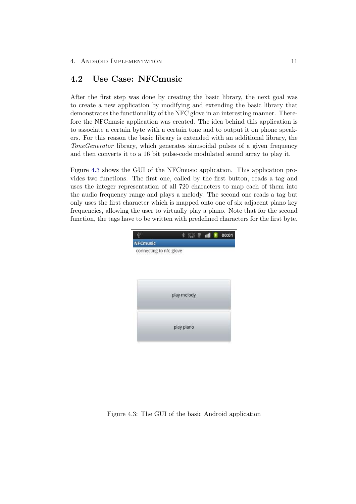### <span id="page-14-0"></span>4.2 Use Case: NFCmusic

After the first step was done by creating the basic library, the next goal was to create a new application by modifying and extending the basic library that demonstrates the functionality of the NFC glove in an interesting manner. Therefore the NFCmusic application was created. The idea behind this application is to associate a certain byte with a certain tone and to output it on phone speakers. For this reason the basic library is extended with an additional library, the ToneGenerator library, which generates sinusoidal pulses of a given frequency and then converts it to a 16 bit pulse-code modulated sound array to play it.

Figure [4.3](#page-14-1) shows the GUI of the NFCmusic application. This application provides two functions. The first one, called by the first button, reads a tag and uses the integer representation of all 720 characters to map each of them into the audio frequency range and plays a melody. The second one reads a tag but only uses the first character which is mapped onto one of six adjacent piano key frequencies, allowing the user to virtually play a piano. Note that for the second function, the tags have to be written with predefined characters for the first byte.

<span id="page-14-1"></span>

Figure 4.3: The GUI of the basic Android application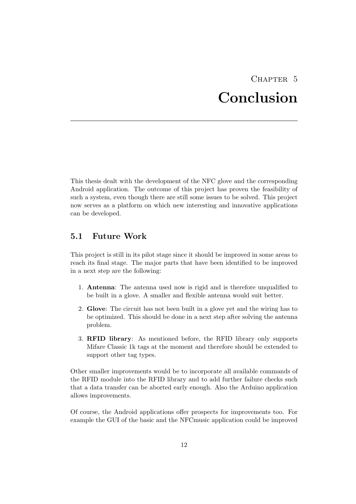## CHAPTER<sub>5</sub> Conclusion

<span id="page-15-0"></span>This thesis dealt with the development of the NFC glove and the corresponding Android application. The outcome of this project has proven the feasibility of such a system, even though there are still some issues to be solved. This project now serves as a platform on which new interesting and innovative applications can be developed.

### <span id="page-15-1"></span>5.1 Future Work

This project is still in its pilot stage since it should be improved in some areas to reach its final stage. The major parts that have been identified to be improved in a next step are the following:

- 1. Antenna: The antenna used now is rigid and is therefore unqualified to be built in a glove. A smaller and flexible antenna would suit better.
- 2. Glove: The circuit has not been built in a glove yet and the wiring has to be optimized. This should be done in a next step after solving the antenna problem.
- 3. RFID library: As mentioned before, the RFID library only supports Mifare Classic 1k tags at the moment and therefore should be extended to support other tag types.

Other smaller improvements would be to incorporate all available commands of the RFID module into the RFID library and to add further failure checks such that a data transfer can be aborted early enough. Also the Arduino application allows improvements.

Of course, the Android applications offer prospects for improvements too. For example the GUI of the basic and the NFCmusic application could be improved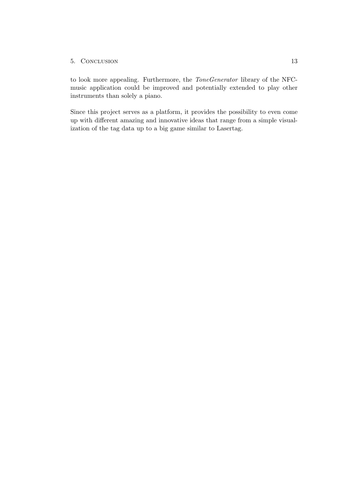#### 5. Conclusion 13

to look more appealing. Furthermore, the ToneGenerator library of the NFCmusic application could be improved and potentially extended to play other instruments than solely a piano.

Since this project serves as a platform, it provides the possibility to even come up with different amazing and innovative ideas that range from a simple visualization of the tag data up to a big game similar to Lasertag.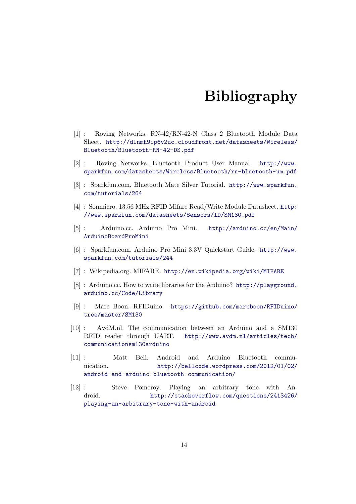## Bibliography

- <span id="page-17-0"></span>[1] : Roving Networks. RN-42/RN-42-N Class 2 Bluetooth Module Data Sheet. [http://dlnmh9ip6v2uc.cloudfront.net/datasheets/Wireless/](http://dlnmh9ip6v2uc.cloudfront.net/datasheets/Wireless/Bluetooth/Bluetooth-RN-42-DS.pdf) [Bluetooth/Bluetooth-RN-42-DS.pdf](http://dlnmh9ip6v2uc.cloudfront.net/datasheets/Wireless/Bluetooth/Bluetooth-RN-42-DS.pdf)
- [2] : Roving Networks. Bluetooth Product User Manual. [http://www.](http://www.sparkfun.com/datasheets/Wireless/Bluetooth/rn-bluetooth-um.pdf) [sparkfun.com/datasheets/Wireless/Bluetooth/rn-bluetooth-um.pdf](http://www.sparkfun.com/datasheets/Wireless/Bluetooth/rn-bluetooth-um.pdf)
- [3] : Sparkfun.com. Bluetooth Mate Silver Tutorial. [http://www.sparkfun.](http://www.sparkfun.com/tutorials/264) [com/tutorials/264](http://www.sparkfun.com/tutorials/264)
- [4] : Sonmicro. 13.56 MHz RFID Mifare Read/Write Module Datasheet. [http:](http://www.sparkfun.com/datasheets/Sensors/ID/SM130.pdf) [//www.sparkfun.com/datasheets/Sensors/ID/SM130.pdf](http://www.sparkfun.com/datasheets/Sensors/ID/SM130.pdf)
- [5] : Arduino.cc. Arduino Pro Mini. [http://arduino.cc/en/Main/](http://arduino.cc/en/Main/ArduinoBoardProMini) [ArduinoBoardProMini](http://arduino.cc/en/Main/ArduinoBoardProMini)
- [6] : Sparkfun.com. Arduino Pro Mini 3.3V Quickstart Guide. [http://www.](http://www.sparkfun.com/tutorials/244) [sparkfun.com/tutorials/244](http://www.sparkfun.com/tutorials/244)
- [7] : Wikipedia.org. MIFARE. <http://en.wikipedia.org/wiki/MIFARE>
- [8] : Arduino.cc. How to write libraries for the Arduino? [http://playground.](http://playground.arduino.cc/Code/Library) [arduino.cc/Code/Library](http://playground.arduino.cc/Code/Library)
- [9] : Marc Boon. RFIDuino. [https://github.com/marcboon/RFIDuino/](https://github.com/marcboon/RFIDuino/tree/master/SM130) [tree/master/SM130](https://github.com/marcboon/RFIDuino/tree/master/SM130)
- [10] : AvdM.nl. The communication between an Arduino and a SM130 RFID reader through UART. [http://www.avdm.nl/articles/tech/](http://www.avdm.nl/articles/tech/communicationsm130arduino) [communicationsm130arduino](http://www.avdm.nl/articles/tech/communicationsm130arduino)
- [11] : Matt Bell. Android and Arduino Bluetooth communication. [http://bellcode.wordpress.com/2012/01/02/](http://bellcode.wordpress.com/2012/01/02/android-and-arduino-bluetooth-communication/) [android-and-arduino-bluetooth-communication/](http://bellcode.wordpress.com/2012/01/02/android-and-arduino-bluetooth-communication/)
- [12] : Steve Pomeroy. Playing an arbitrary tone with Android. [http://stackoverflow.com/questions/2413426/](http://stackoverflow.com/questions/2413426/playing-an-arbitrary-tone-with-android) [playing-an-arbitrary-tone-with-android](http://stackoverflow.com/questions/2413426/playing-an-arbitrary-tone-with-android)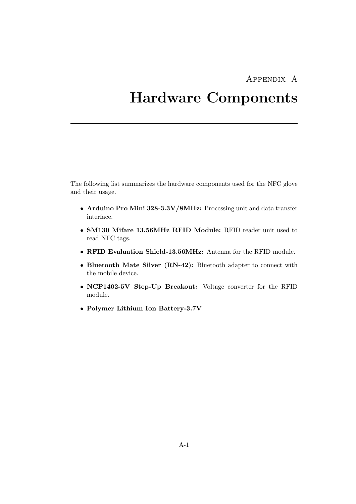## Appendix A

## <span id="page-18-0"></span>Hardware Components

The following list summarizes the hardware components used for the NFC glove and their usage.

- Arduino Pro Mini 328-3.3V/8MHz: Processing unit and data transfer interface.
- SM130 Mifare 13.56MHz RFID Module: RFID reader unit used to read NFC tags.
- RFID Evaluation Shield-13.56MHz: Antenna for the RFID module.
- Bluetooth Mate Silver (RN-42): Bluetooth adapter to connect with the mobile device.
- NCP1402-5V Step-Up Breakout: Voltage converter for the RFID module.
- Polymer Lithium Ion Battery-3.7V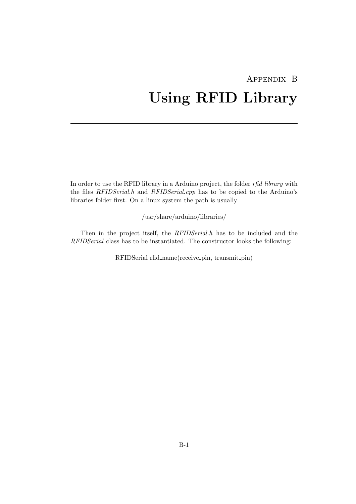## <span id="page-19-0"></span>Appendix B Using RFID Library

In order to use the RFID library in a Arduino project, the folder rfid\_library with the files RFIDSerial.h and RFIDSerial.cpp has to be copied to the Arduino's libraries folder first. On a linux system the path is usually

/usr/share/arduino/libraries/

Then in the project itself, the RFIDSerial.h has to be included and the RFIDSerial class has to be instantiated. The constructor looks the following:

RFIDSerial rfid name(receive pin, transmit pin)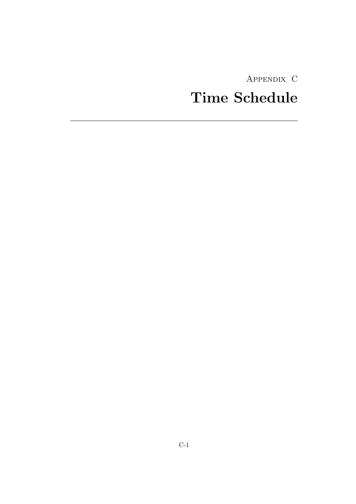Appendix C

# <span id="page-20-0"></span>Time Schedule